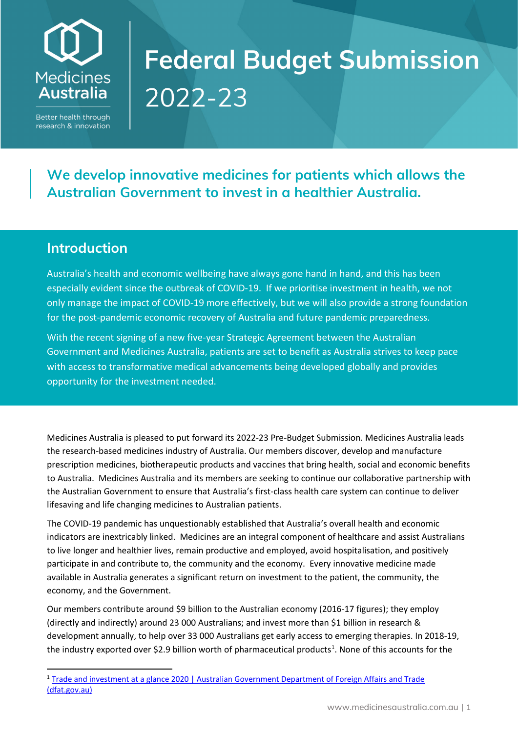## **Medicines Australia**

Better health through research & innovation

## **Federal Budget Submission** 2022-23

**We develop innovative medicines for patients which allows the Australian Government to invest in a healthier Australia.**

## **Introduction**

Australia's health and economic wellbeing have always gone hand in hand, and this has been especially evident since the outbreak of COVID-19. If we prioritise investment in health, we not only manage the impact of COVID-19 more effectively, but we will also provide a strong foundation for the post-pandemic economic recovery of Australia and future pandemic preparedness.

With the recent signing of a new five-year Strategic Agreement between the Australian Government and Medicines Australia, patients are set to benefit as Australia strives to keep pace with access to transformative medical advancements being developed globally and provides opportunity for the investment needed.

Medicines Australia is pleased to put forward its 2022-23 Pre-Budget Submission. Medicines Australia leads the research-based medicines industry of Australia. Our members discover, develop and manufacture prescription medicines, biotherapeutic products and vaccines that bring health, social and economic benefits to Australia. Medicines Australia and its members are seeking to continue our collaborative partnership with the Australian Government to ensure that Australia's first-class health care system can continue to deliver lifesaving and life changing medicines to Australian patients.

The COVID-19 pandemic has unquestionably established that Australia's overall health and economic indicators are inextricably linked. Medicines are an integral component of healthcare and assist Australians to live longer and healthier lives, remain productive and employed, avoid hospitalisation, and positively participate in and contribute to, the community and the economy. Every innovative medicine made available in Australia generates a significant return on investment to the patient, the community, the economy, and the Government.

Our members contribute around \$9 billion to the Australian economy (2016-17 figures); they employ (directly and indirectly) around 23 000 Australians; and invest more than \$1 billion in research & development annually, to help over 33 000 Australians get early access to emerging therapies. In 2018-19, the industry exported over \$2.9 billion worth of pharmaceutical products<sup>[1](#page-0-0)</sup>. None of this accounts for the

<span id="page-0-0"></span><sup>1</sup> [Trade and investment at a glance 2020 | Australian Government Department of Foreign Affairs and Trade](https://www.dfat.gov.au/publications/trade-and-investment/trade-and-investment-glance-2020#manufactures-sector)  [\(dfat.gov.au\)](https://www.dfat.gov.au/publications/trade-and-investment/trade-and-investment-glance-2020#manufactures-sector)